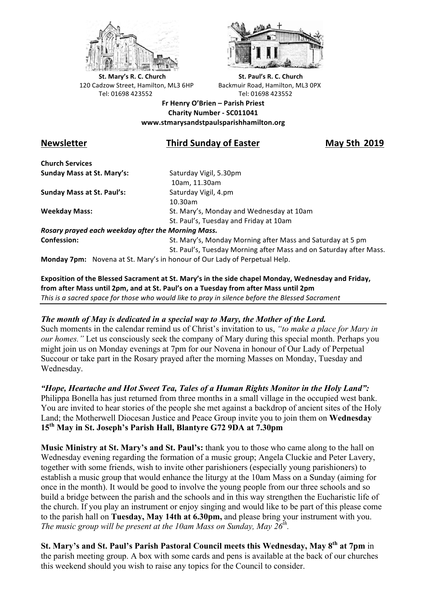



**St.** Mary's R. C. Church St. Paul's R. C. Church 120 Cadzow Street, Hamilton, ML3 6HP Backmuir Road, Hamilton, ML3 0PX Tel: 01698 423552 Tel: 01698 423552

**Fr Henry O'Brien – Parish Priest Charity Number - SC011041 www.stmarysandstpaulsparishhamilton.org**

# **Newsletter Third Sunday of Easter May 5th 2019**

**Church Services Sunday Mass at St. Mary's:** Saturday Vigil, 5.30pm

**Sunday Mass at St. Paul's:** Saturday Vigil, 4.pm

 10am, 11.30am 10.30am **Weekday Mass:** St. Mary's, Monday and Wednesday at 10am St. Paul's, Tuesday and Friday at 10am

*Rosary prayed each weekday after the Morning Mass.* **Confession:** St. Mary's, Monday Morning after Mass and Saturday at 5 pm

St. Paul's, Tuesday Morning after Mass and on Saturday after Mass.

**Monday 7pm:** Novena at St. Mary's in honour of Our Lady of Perpetual Help.

Exposition of the Blessed Sacrament at St. Mary's in the side chapel Monday, Wednesday and Friday, from after Mass until 2pm, and at St. Paul's on a Tuesday from after Mass until 2pm This is a sacred space for those who would like to pray in silence before the Blessed Sacrament

## *The month of May is dedicated in a special way to Mary, the Mother of the Lord.*

Such moments in the calendar remind us of Christ's invitation to us, *"to make a place for Mary in our homes."* Let us consciously seek the company of Mary during this special month. Perhaps you might join us on Monday evenings at 7pm for our Novena in honour of Our Lady of Perpetual Succour or take part in the Rosary prayed after the morning Masses on Monday, Tuesday and Wednesday.

*"Hope, Heartache and Hot Sweet Tea, Tales of a Human Rights Monitor in the Holy Land":*

Philippa Bonella has just returned from three months in a small village in the occupied west bank. You are invited to hear stories of the people she met against a backdrop of ancient sites of the Holy Land; the Motherwell Diocesan Justice and Peace Group invite you to join them on **Wednesday 15th May in St. Joseph's Parish Hall, Blantyre G72 9DA at 7.30pm** 

**Music Ministry at St. Mary's and St. Paul's:** thank you to those who came along to the hall on Wednesday evening regarding the formation of a music group; Angela Cluckie and Peter Lavery, together with some friends, wish to invite other parishioners (especially young parishioners) to establish a music group that would enhance the liturgy at the 10am Mass on a Sunday (aiming for once in the month). It would be good to involve the young people from our three schools and so build a bridge between the parish and the schools and in this way strengthen the Eucharistic life of the church. If you play an instrument or enjoy singing and would like to be part of this please come to the parish hall on **Tuesday, May 14th at 6.30pm,** and please bring your instrument with you. *The music group will be present at the 10am Mass on Sunday, May 26th.*

**St. Mary's and St. Paul's Parish Pastoral Council meets this Wednesday, May 8th at 7pm** in the parish meeting group. A box with some cards and pens is available at the back of our churches this weekend should you wish to raise any topics for the Council to consider.